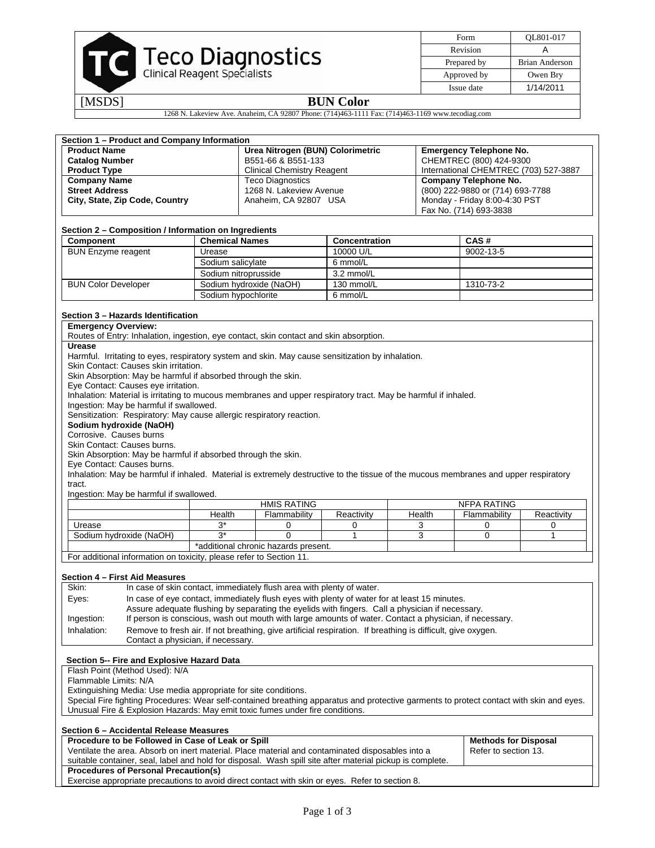

| Form        | OL801-017      |
|-------------|----------------|
| Revision    |                |
| Prepared by | Brian Anderson |
| Approved by | Owen Bry       |
| Issue date  | 1/14/2011      |

# [MSDS] **BUN Color**

1268 N. Lakeview Ave. Anaheim, CA 92807 Phone: (714)463-1111 Fax: (714)463-1169 www.tecodiag.com

|                                                                                                                                                                    |                                                                               | Section 1 - Product and Company Information |                                                                                        |                                                                                                                                          |        |                                       |              |  |
|--------------------------------------------------------------------------------------------------------------------------------------------------------------------|-------------------------------------------------------------------------------|---------------------------------------------|----------------------------------------------------------------------------------------|------------------------------------------------------------------------------------------------------------------------------------------|--------|---------------------------------------|--------------|--|
| <b>Product Name</b>                                                                                                                                                |                                                                               |                                             | Urea Nitrogen (BUN) Colorimetric                                                       |                                                                                                                                          |        | <b>Emergency Telephone No.</b>        |              |  |
| <b>Catalog Number</b>                                                                                                                                              |                                                                               |                                             | B551-66 & B551-133                                                                     |                                                                                                                                          |        | CHEMTREC (800) 424-9300               |              |  |
| <b>Product Type</b>                                                                                                                                                |                                                                               |                                             | <b>Clinical Chemistry Reagent</b>                                                      |                                                                                                                                          |        | International CHEMTREC (703) 527-3887 |              |  |
|                                                                                                                                                                    | <b>Company Name</b>                                                           |                                             | <b>Teco Diagnostics</b>                                                                |                                                                                                                                          |        | <b>Company Telephone No.</b>          |              |  |
| <b>Street Address</b>                                                                                                                                              |                                                                               |                                             | 1268 N. Lakeview Avenue                                                                |                                                                                                                                          |        | (800) 222-9880 or (714) 693-7788      |              |  |
|                                                                                                                                                                    | City, State, Zip Code, Country                                                |                                             | Anaheim, CA 92807 USA                                                                  |                                                                                                                                          |        | Monday - Friday 8:00-4:30 PST         |              |  |
|                                                                                                                                                                    |                                                                               |                                             |                                                                                        |                                                                                                                                          |        | Fax No. (714) 693-3838                |              |  |
|                                                                                                                                                                    |                                                                               |                                             |                                                                                        |                                                                                                                                          |        |                                       |              |  |
|                                                                                                                                                                    |                                                                               |                                             |                                                                                        |                                                                                                                                          |        |                                       |              |  |
| Component                                                                                                                                                          | Section 2 – Composition / Information on Ingredients<br><b>Chemical Names</b> |                                             |                                                                                        | Concentration                                                                                                                            |        | CAS#                                  |              |  |
|                                                                                                                                                                    |                                                                               |                                             |                                                                                        | 10000 U/L                                                                                                                                |        |                                       | 9002-13-5    |  |
|                                                                                                                                                                    | <b>BUN Enzyme reagent</b><br>Urease<br>Sodium salicylate                      |                                             |                                                                                        |                                                                                                                                          |        |                                       |              |  |
|                                                                                                                                                                    |                                                                               |                                             |                                                                                        | 6 mmol/L                                                                                                                                 |        |                                       |              |  |
|                                                                                                                                                                    |                                                                               | Sodium nitroprusside                        |                                                                                        | 3.2 mmol/L                                                                                                                               |        |                                       |              |  |
|                                                                                                                                                                    | <b>BUN Color Developer</b><br>Sodium hydroxide (NaOH)                         |                                             |                                                                                        | 130 mmol/L                                                                                                                               |        | 1310-73-2                             |              |  |
|                                                                                                                                                                    |                                                                               | Sodium hypochlorite                         |                                                                                        | 6 mmol/L                                                                                                                                 |        |                                       |              |  |
|                                                                                                                                                                    |                                                                               |                                             |                                                                                        |                                                                                                                                          |        |                                       |              |  |
|                                                                                                                                                                    | Section 3 - Hazards Identification                                            |                                             |                                                                                        |                                                                                                                                          |        |                                       |              |  |
| <b>Emergency Overview:</b>                                                                                                                                         |                                                                               |                                             |                                                                                        |                                                                                                                                          |        |                                       |              |  |
|                                                                                                                                                                    |                                                                               |                                             | Routes of Entry: Inhalation, ingestion, eye contact, skin contact and skin absorption. |                                                                                                                                          |        |                                       |              |  |
| <b>Urease</b>                                                                                                                                                      |                                                                               |                                             |                                                                                        |                                                                                                                                          |        |                                       |              |  |
|                                                                                                                                                                    |                                                                               |                                             |                                                                                        | Harmful. Irritating to eyes, respiratory system and skin. May cause sensitization by inhalation.                                         |        |                                       |              |  |
|                                                                                                                                                                    | Skin Contact: Causes skin irritation.                                         |                                             |                                                                                        |                                                                                                                                          |        |                                       |              |  |
|                                                                                                                                                                    | Skin Absorption: May be harmful if absorbed through the skin.                 |                                             |                                                                                        |                                                                                                                                          |        |                                       |              |  |
|                                                                                                                                                                    | Eye Contact: Causes eye irritation.                                           |                                             |                                                                                        |                                                                                                                                          |        |                                       |              |  |
|                                                                                                                                                                    |                                                                               |                                             |                                                                                        |                                                                                                                                          |        |                                       |              |  |
|                                                                                                                                                                    |                                                                               |                                             |                                                                                        | Inhalation: Material is irritating to mucous membranes and upper respiratory tract. May be harmful if inhaled.                           |        |                                       |              |  |
|                                                                                                                                                                    | Ingestion: May be harmful if swallowed.                                       |                                             |                                                                                        |                                                                                                                                          |        |                                       |              |  |
|                                                                                                                                                                    | Sensitization: Respiratory: May cause allergic respiratory reaction.          |                                             |                                                                                        |                                                                                                                                          |        |                                       |              |  |
|                                                                                                                                                                    | Sodium hydroxide (NaOH)                                                       |                                             |                                                                                        |                                                                                                                                          |        |                                       |              |  |
| Corrosive. Causes burns                                                                                                                                            |                                                                               |                                             |                                                                                        |                                                                                                                                          |        |                                       |              |  |
|                                                                                                                                                                    | Skin Contact: Causes burns.                                                   |                                             |                                                                                        |                                                                                                                                          |        |                                       |              |  |
|                                                                                                                                                                    |                                                                               |                                             |                                                                                        |                                                                                                                                          |        |                                       |              |  |
|                                                                                                                                                                    | Skin Absorption: May be harmful if absorbed through the skin.                 |                                             |                                                                                        |                                                                                                                                          |        |                                       |              |  |
| Eye Contact: Causes burns.<br>Inhalation: May be harmful if inhaled. Material is extremely destructive to the tissue of the mucous membranes and upper respiratory |                                                                               |                                             |                                                                                        |                                                                                                                                          |        |                                       |              |  |
|                                                                                                                                                                    |                                                                               |                                             |                                                                                        |                                                                                                                                          |        |                                       |              |  |
| tract.                                                                                                                                                             |                                                                               |                                             |                                                                                        |                                                                                                                                          |        |                                       |              |  |
|                                                                                                                                                                    | Ingestion: May be harmful if swallowed.                                       |                                             |                                                                                        |                                                                                                                                          |        |                                       |              |  |
|                                                                                                                                                                    |                                                                               |                                             | <b>HMIS RATING</b>                                                                     |                                                                                                                                          |        | <b>NFPA RATING</b>                    |              |  |
|                                                                                                                                                                    |                                                                               | Health                                      |                                                                                        |                                                                                                                                          | Health |                                       |              |  |
|                                                                                                                                                                    |                                                                               |                                             | Flammability                                                                           | Reactivity                                                                                                                               |        | Flammability                          | Reactivity   |  |
| Urease                                                                                                                                                             |                                                                               | $3^*$                                       | 0                                                                                      | 0                                                                                                                                        | 3      | 0                                     | 0            |  |
|                                                                                                                                                                    | Sodium hydroxide (NaOH)                                                       | $3^*$                                       | $\overline{0}$                                                                         | 1                                                                                                                                        | 3      | $\Omega$                              | $\mathbf{1}$ |  |
|                                                                                                                                                                    |                                                                               |                                             | *additional chronic hazards present.                                                   |                                                                                                                                          |        |                                       |              |  |
|                                                                                                                                                                    | For additional information on toxicity, please refer to Section 11.           |                                             |                                                                                        |                                                                                                                                          |        |                                       |              |  |
|                                                                                                                                                                    |                                                                               |                                             |                                                                                        |                                                                                                                                          |        |                                       |              |  |
|                                                                                                                                                                    | <b>Section 4 - First Aid Measures</b>                                         |                                             |                                                                                        |                                                                                                                                          |        |                                       |              |  |
| Skin:                                                                                                                                                              |                                                                               |                                             | In case of skin contact, immediately flush area with plenty of water.                  |                                                                                                                                          |        |                                       |              |  |
|                                                                                                                                                                    |                                                                               |                                             |                                                                                        |                                                                                                                                          |        |                                       |              |  |
| Eyes:                                                                                                                                                              |                                                                               |                                             |                                                                                        | In case of eye contact, immediately flush eyes with plenty of water for at least 15 minutes.                                             |        |                                       |              |  |
|                                                                                                                                                                    |                                                                               |                                             |                                                                                        | Assure adequate flushing by separating the eyelids with fingers. Call a physician if necessary.                                          |        |                                       |              |  |
| Ingestion:                                                                                                                                                         |                                                                               |                                             |                                                                                        | If person is conscious, wash out mouth with large amounts of water. Contact a physician, if necessary.                                   |        |                                       |              |  |
| Inhalation:                                                                                                                                                        |                                                                               |                                             |                                                                                        | Remove to fresh air. If not breathing, give artificial respiration. If breathing is difficult, give oxygen.                              |        |                                       |              |  |
|                                                                                                                                                                    | Contact a physician, if necessary.                                            |                                             |                                                                                        |                                                                                                                                          |        |                                       |              |  |
|                                                                                                                                                                    |                                                                               |                                             |                                                                                        |                                                                                                                                          |        |                                       |              |  |
|                                                                                                                                                                    | Section 5-- Fire and Explosive Hazard Data                                    |                                             |                                                                                        |                                                                                                                                          |        |                                       |              |  |
|                                                                                                                                                                    | Flash Point (Method Used): N/A                                                |                                             |                                                                                        |                                                                                                                                          |        |                                       |              |  |
| Flammable Limits: N/A                                                                                                                                              |                                                                               |                                             |                                                                                        |                                                                                                                                          |        |                                       |              |  |
|                                                                                                                                                                    |                                                                               |                                             |                                                                                        |                                                                                                                                          |        |                                       |              |  |
|                                                                                                                                                                    | Extinguishing Media: Use media appropriate for site conditions.               |                                             |                                                                                        |                                                                                                                                          |        |                                       |              |  |
|                                                                                                                                                                    |                                                                               |                                             |                                                                                        | Special Fire fighting Procedures: Wear self-contained breathing apparatus and protective garments to protect contact with skin and eyes. |        |                                       |              |  |
|                                                                                                                                                                    |                                                                               |                                             | Unusual Fire & Explosion Hazards: May emit toxic fumes under fire conditions.          |                                                                                                                                          |        |                                       |              |  |
|                                                                                                                                                                    |                                                                               |                                             |                                                                                        |                                                                                                                                          |        |                                       |              |  |
|                                                                                                                                                                    | Section 6 - Accidental Release Measures                                       |                                             |                                                                                        |                                                                                                                                          |        |                                       |              |  |
|                                                                                                                                                                    | Procedure to be Followed in Case of Leak or Spill                             |                                             |                                                                                        |                                                                                                                                          |        | <b>Methods for Disposal</b>           |              |  |
|                                                                                                                                                                    |                                                                               |                                             |                                                                                        | Ventilate the area. Absorb on inert material. Place material and contaminated disposables into a                                         |        | Refer to section 13.                  |              |  |
|                                                                                                                                                                    |                                                                               |                                             |                                                                                        | suitable container, seal, label and hold for disposal. Wash spill site after material pickup is complete.                                |        |                                       |              |  |
|                                                                                                                                                                    | <b>Procedures of Personal Precaution(s)</b>                                   |                                             |                                                                                        | Exercise appropriate precautions to avoid direct contact with skin or eyes. Refer to section 8.                                          |        |                                       |              |  |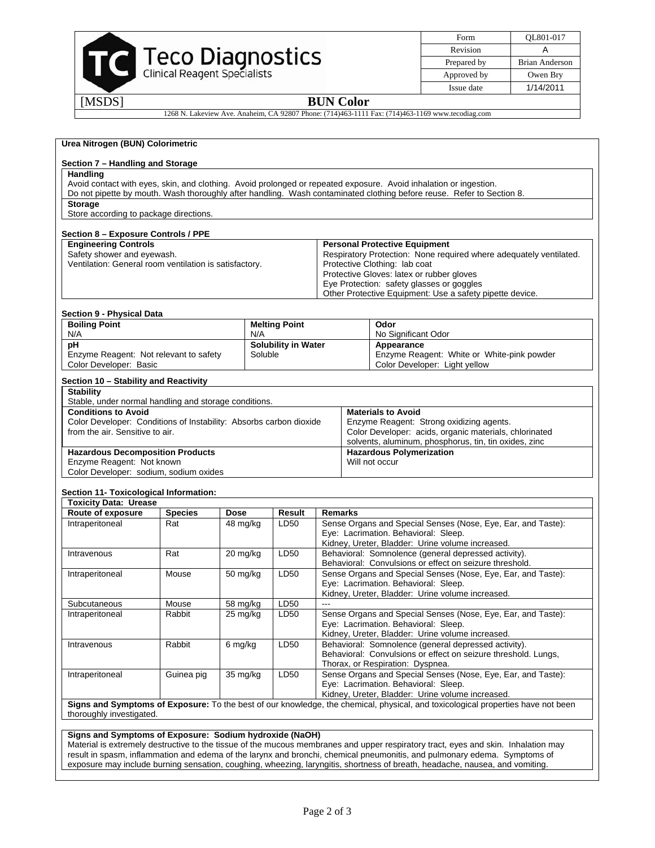| <b>Teco Diagnostics</b><br>Clinical Reagent Specialists |
|---------------------------------------------------------|
|                                                         |

| Form        | OL801-017      |
|-------------|----------------|
| Revision    |                |
| Prepared by | Brian Anderson |
| Approved by | Owen Bry       |
| Issue date  | 1/14/2011      |

## [MSDS] **BUN Color**

1268 N. Lakeview Ave. Anaheim, CA 92807 Phone: (714)463-1111 Fax: (714)463-1169 www.tecodiag.com

|                                                                                      |                |                                |                            |                                                                            | Avoid contact with eyes, skin, and clothing. Avoid prolonged or repeated exposure. Avoid inhalation or ingestion.                |  |  |  |
|--------------------------------------------------------------------------------------|----------------|--------------------------------|----------------------------|----------------------------------------------------------------------------|----------------------------------------------------------------------------------------------------------------------------------|--|--|--|
|                                                                                      |                |                                |                            |                                                                            | Do not pipette by mouth. Wash thoroughly after handling. Wash contaminated clothing before reuse. Refer to Section 8.            |  |  |  |
| <b>Storage</b>                                                                       |                |                                |                            |                                                                            |                                                                                                                                  |  |  |  |
| Store according to package directions.                                               |                |                                |                            |                                                                            |                                                                                                                                  |  |  |  |
| Section 8 - Exposure Controls / PPE                                                  |                |                                |                            |                                                                            |                                                                                                                                  |  |  |  |
| <b>Engineering Controls</b>                                                          |                |                                |                            |                                                                            | <b>Personal Protective Equipment</b>                                                                                             |  |  |  |
| Safety shower and eyewash.<br>Ventilation: General room ventilation is satisfactory. |                |                                |                            | Respiratory Protection: None required where adequately ventilated.         |                                                                                                                                  |  |  |  |
|                                                                                      |                |                                |                            | Protective Clothing: lab coat<br>Protective Gloves: latex or rubber gloves |                                                                                                                                  |  |  |  |
|                                                                                      |                |                                |                            |                                                                            | Eye Protection: safety glasses or goggles                                                                                        |  |  |  |
|                                                                                      |                |                                |                            |                                                                            | Other Protective Equipment: Use a safety pipette device.                                                                         |  |  |  |
| Section 9 - Physical Data                                                            |                |                                |                            |                                                                            |                                                                                                                                  |  |  |  |
| <b>Boiling Point</b>                                                                 |                |                                | <b>Melting Point</b>       |                                                                            | Odor                                                                                                                             |  |  |  |
| N/A                                                                                  |                | N/A                            |                            |                                                                            | No Significant Odor                                                                                                              |  |  |  |
| pH                                                                                   |                |                                | <b>Solubility in Water</b> |                                                                            | Appearance                                                                                                                       |  |  |  |
| Enzyme Reagent: Not relevant to safety<br>Color Developer: Basic                     |                |                                | Soluble                    |                                                                            | Enzyme Reagent: White or White-pink powder<br>Color Developer: Light yellow                                                      |  |  |  |
| Section 10 - Stability and Reactivity                                                |                |                                |                            |                                                                            |                                                                                                                                  |  |  |  |
| <b>Stability</b><br>Stable, under normal handling and storage conditions.            |                |                                |                            |                                                                            |                                                                                                                                  |  |  |  |
| <b>Conditions to Avoid</b>                                                           |                |                                |                            |                                                                            | <b>Materials to Avoid</b>                                                                                                        |  |  |  |
| Color Developer: Conditions of Instability: Absorbs carbon dioxide                   |                |                                |                            |                                                                            | Enzyme Reagent: Strong oxidizing agents.                                                                                         |  |  |  |
| from the air. Sensitive to air.                                                      |                |                                |                            |                                                                            | Color Developer: acids, organic materials, chlorinated                                                                           |  |  |  |
|                                                                                      |                |                                |                            |                                                                            | solvents, aluminum, phosphorus, tin, tin oxides, zinc                                                                            |  |  |  |
|                                                                                      |                |                                |                            | <b>Hazardous Polymerization</b><br><b>Hazardous Decomposition Products</b> |                                                                                                                                  |  |  |  |
| Enzyme Reagent: Not known                                                            |                |                                |                            |                                                                            |                                                                                                                                  |  |  |  |
|                                                                                      |                |                                |                            |                                                                            | Will not occur                                                                                                                   |  |  |  |
| Color Developer: sodium, sodium oxides                                               |                |                                |                            |                                                                            |                                                                                                                                  |  |  |  |
| Section 11- Toxicological Information:                                               |                |                                |                            |                                                                            |                                                                                                                                  |  |  |  |
| <b>Toxicity Data: Urease</b>                                                         |                |                                |                            |                                                                            |                                                                                                                                  |  |  |  |
| Route of exposure                                                                    | <b>Species</b> | Dose                           | Result                     | <b>Remarks</b>                                                             |                                                                                                                                  |  |  |  |
| Intraperitoneal                                                                      | Rat            | 48 mg/kg                       | LD50                       |                                                                            | Sense Organs and Special Senses (Nose, Eye, Ear, and Taste):                                                                     |  |  |  |
|                                                                                      |                |                                |                            |                                                                            | Eye: Lacrimation. Behavioral: Sleep.                                                                                             |  |  |  |
|                                                                                      | Rat            |                                | LD50                       |                                                                            | Kidney, Ureter, Bladder: Urine volume increased.<br>Behavioral: Somnolence (general depressed activity).                         |  |  |  |
| Intravenous                                                                          |                | 20 mg/kg                       |                            |                                                                            | Behavioral: Convulsions or effect on seizure threshold.                                                                          |  |  |  |
| Intraperitoneal                                                                      | Mouse          | 50 mg/kg                       | LD50                       |                                                                            | Sense Organs and Special Senses (Nose, Eye, Ear, and Taste):                                                                     |  |  |  |
|                                                                                      |                |                                |                            |                                                                            | Eye: Lacrimation. Behavioral: Sleep.                                                                                             |  |  |  |
|                                                                                      |                |                                |                            |                                                                            | Kidney, Ureter, Bladder: Urine volume increased.                                                                                 |  |  |  |
| Subcutaneous                                                                         | Mouse          | 58 mg/kg                       | LD50                       | $---$                                                                      |                                                                                                                                  |  |  |  |
| Intraperitoneal                                                                      | Rabbit         | $25 \overline{\mathrm{mg/kg}}$ | LD50                       |                                                                            | Sense Organs and Special Senses (Nose, Eye, Ear, and Taste):                                                                     |  |  |  |
|                                                                                      |                |                                |                            |                                                                            | Eye: Lacrimation. Behavioral: Sleep.                                                                                             |  |  |  |
|                                                                                      |                |                                |                            |                                                                            | Kidney, Ureter, Bladder: Urine volume increased.                                                                                 |  |  |  |
| Intravenous                                                                          | Rabbit         | 6 mg/kg                        | LD50                       |                                                                            | Behavioral: Somnolence (general depressed activity).<br>Behavioral: Convulsions or effect on seizure threshold. Lungs,           |  |  |  |
|                                                                                      |                |                                |                            |                                                                            | Thorax, or Respiration: Dyspnea.                                                                                                 |  |  |  |
| Intraperitoneal                                                                      | Guinea pig     | 35 mg/kg                       | LD50                       |                                                                            | Sense Organs and Special Senses (Nose, Eye, Ear, and Taste):                                                                     |  |  |  |
|                                                                                      |                |                                |                            |                                                                            | Eye: Lacrimation. Behavioral: Sleep.                                                                                             |  |  |  |
|                                                                                      |                |                                |                            |                                                                            | Kidney, Ureter, Bladder: Urine volume increased.                                                                                 |  |  |  |
|                                                                                      |                |                                |                            |                                                                            | Signs and Symptoms of Exposure: To the best of our knowledge, the chemical, physical, and toxicological properties have not been |  |  |  |
| thoroughly investigated.                                                             |                |                                |                            |                                                                            |                                                                                                                                  |  |  |  |